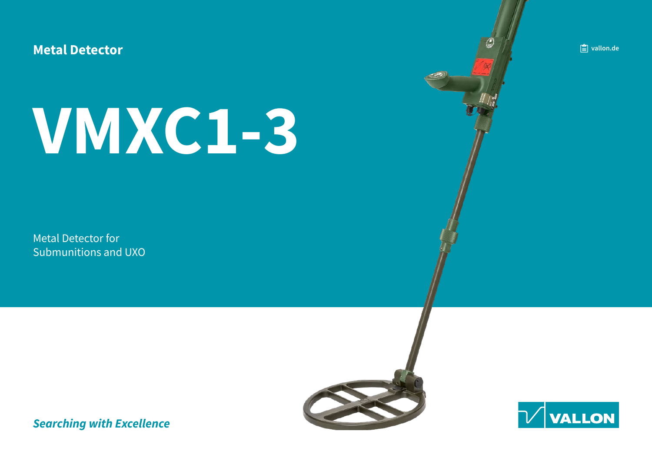**Metal Detector** 

# **1-3VMXC**

Metal Detector for Submunitions and UXO **de.** vallon.de





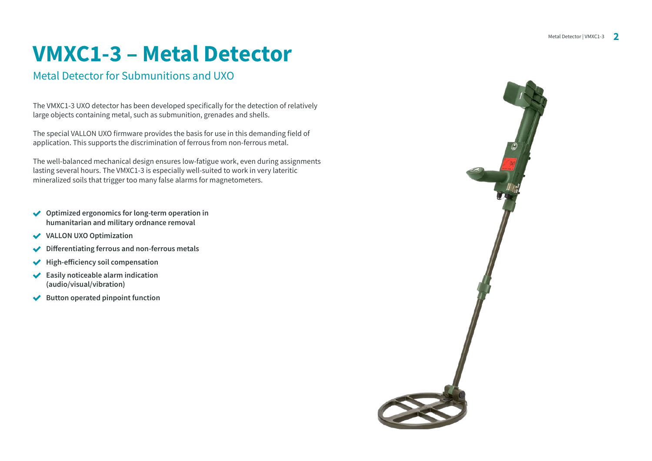### **VMXC1-3 - Metal Detector**

### Metal Detector for Submunitions and UXO

The VMXC1-3 UXO detector has been developed specifically for the detection of relatively large objects containing metal, such as submunition, grenades and shells.

The special VALLON UXO firmware provides the basis for use in this demanding field of application. This supports the discrimination of ferrous from non-ferrous metal.

The well-balanced mechanical design ensures low-fatigue work, even during assignments lasting several hours. The VMXC1-3 is especially well-suited to work in very lateritic mineralized soils that trigger too many false alarms for magnetometers.

- ◆ Optimized ergonomics for long-term operation in humanitarian and military ordnance removal
- $\checkmark$  VALLON UXO Optimization
- $\sqrt{\phantom{a}}$  Differentiating ferrous and non-ferrous metals
- **figh-efficiency soil compensation**  $\checkmark$
- **i**Easily noticeable alarm indication (audio/visual/vibration)
- **★** Button operated pinpoint function

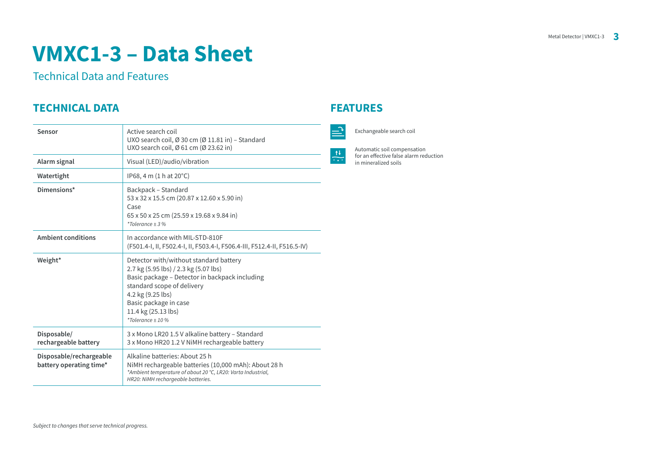### **VMXC1-3 - Data Sheet**

**Technical Data and Features** 

### **FEATURES PEATURES**

| Sensor                                             | Active search coil<br>UXO search coil, Ø 30 cm (Ø 11.81 in) – Standard<br>UXO search coil, Ø 61 cm (Ø 23.62 in)                                                                                                                                            |
|----------------------------------------------------|------------------------------------------------------------------------------------------------------------------------------------------------------------------------------------------------------------------------------------------------------------|
| Alarm signal                                       | Visual (LED)/audio/vibration                                                                                                                                                                                                                               |
| Watertight                                         | $IP68$ , 4 m $(1 h at 20^{\circ}C)$                                                                                                                                                                                                                        |
| Dimensions*                                        | Backpack - Standard<br>53 x 32 x 15.5 cm (20.87 x 12.60 x 5.90 in)<br>Case<br>65 x 50 x 25 cm (25.59 x 19.68 x 9.84 in)<br>*Tolerance $\pm$ 3 %                                                                                                            |
| <b>Ambient conditions</b>                          | In accordance with MII-STD-810F<br>(F501.4-I, II, F502.4-I, II, F503.4-I, F506.4-III, F512.4-II, F516.5-IV)                                                                                                                                                |
| Weight*                                            | Detector with/without standard battery<br>2.7 kg (5.95 lbs) / 2.3 kg (5.07 lbs)<br>Basic package - Detector in backpack including<br>standard scope of delivery<br>4.2 kg (9.25 lbs)<br>Basic package in case<br>11.4 kg (25.13 lbs)<br>$*Tolerance + 10%$ |
| Disposable/<br>rechargeable battery                | 3 x Mono LR20 1.5 V alkaline battery - Standard<br>3 x Mono HR20 1.2 V NiMH rechargeable battery                                                                                                                                                           |
| Disposable/rechargeable<br>battery operating time* | Alkaline batteries: About 25 h<br>NiMH rechargeable batteries (10,000 mAh): About 28 h<br>*Ambient temperature of about 20 °C, LR20: Varta Industrial,<br>HR20: NiMH rechargeable batteries.                                                               |

Exchangeable search coil

Automatic soil compensation for an effective false alarm reduction in mineralized soils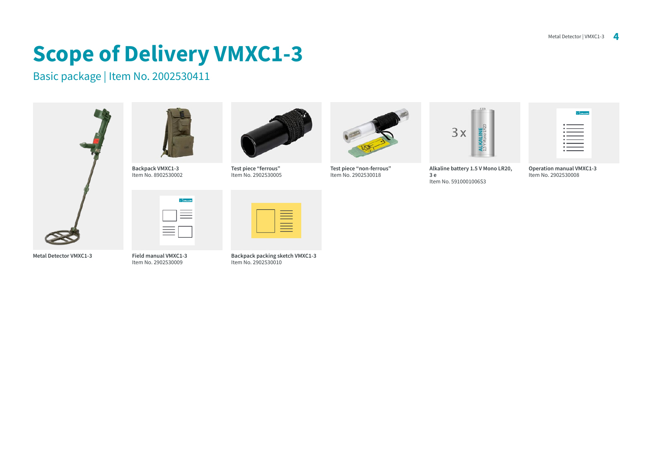## **Scope of Delivery VMXC1-3**

Basic package | Item No. 2002530411







**Field manual VMXC1-3 1200200009** .htm













**Backpack packing sketch VMXC1-3** 2002530010



Test piece "non-ferrous" 1228 .nov. 2902530018



**Alkaline battery 1.5 V Mono LR20, e 3** Item No. 5910001006S3

|     | <b>VIVALLON</b>                         |
|-----|-----------------------------------------|
| . . |                                         |
|     | $\overline{\phantom{a}}$                |
|     | $\overline{\phantom{a}}$<br>$\cdot$ $-$ |
|     | . ____                                  |
|     | . —<br>-<br>$\cdot$ $ -$                |
|     | $\overline{\phantom{a}}$                |

**Operation manual VMXC1-3** Item No. 2902530008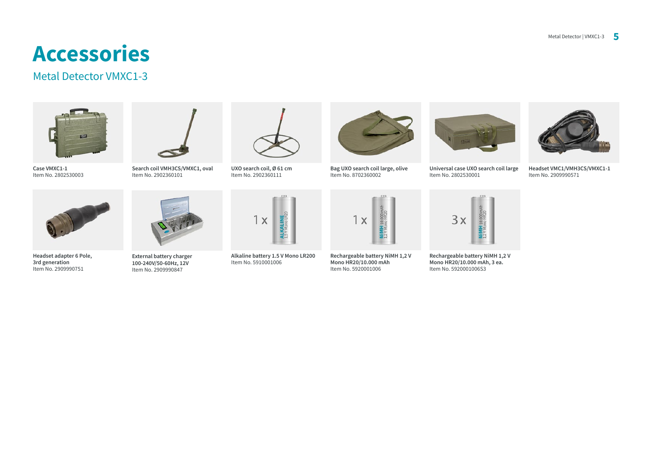### **Accessories**

#### Metal Detector VMXC1-3



Case VMXC1-1 Item No. 2802530003



**Headset adapter 6 Pole.** 3rd generation Item No. 2909990751



**External battery charger** 100-240V/50-60Hz, 12V Item No. 2909990847

Search coil VMH3CS/VMXC1, oval Item No. 2902360101



**UXO** search coil, Ø 61 cm Item No. 2902360111



**Alkaline battery 1.5 V Mono LR200** Item No. 5910001006



**Bag UXO search coil large, olive** Item No. 8702360002



**Universal case UXO search coil large** 12802530001



**1-1VMXC/CS3VMH1/VMC Headset** 1tem No. 2909990571



**Rechargeable battery NiMH 1.2 V** Mono HR20/10.000 mAh Item No. 5920001006



**Rechargeable battery NiMH 1.2 V** Mono HR20/10.000 mAh, 3 ea. Item No. 5920001006S3

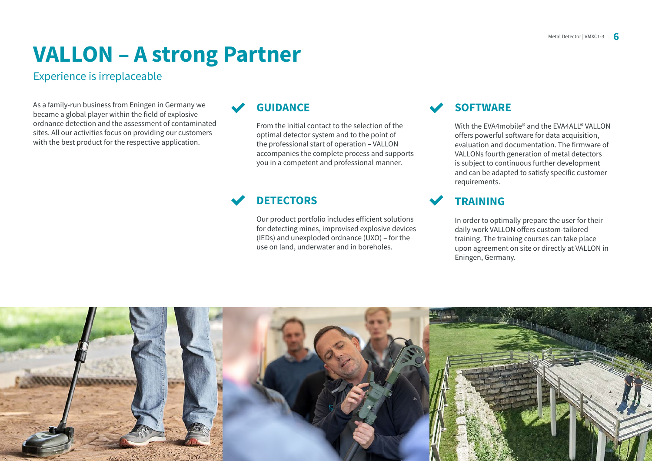### **VALLON - A strong Partner**

#### Experience is irreplaceable

As a family-run business from Eningen in Germany we became a global player within the field of explosive ordnance detection and the assessment of contaminated sites. All our activities focus on providing our customers with the best product for the respective application.

### **GUIDANCE**

From the initial contact to the selection of the optimal detector system and to the point of the professional start of operation - VALLON accompanies the complete process and supports you in a competent and professional manner.

### **DETECTORS**

Our product portfolio includes efficient solutions for detecting mines, improvised explosive devices  $(IEDs)$  and unexploded ordnance  $(UXO)$  – for the use on land, underwater and in boreholes.

### **SOFTWARE**

With the EVA4mobile® and the EVA4ALL® VALLON offers powerful software for data acquisition, evaluation and documentation. The firmware of VALLONs fourth generation of metal detectors is subject to continuous further development and can be adapted to satisfy specific customer .requirements

### **TRAINING**

In order to optimally prepare the user for their daily work VALLON offers custom-tailored training. The training courses can take place upon agreement on site or directly at VALLON in Eningen, Germany.